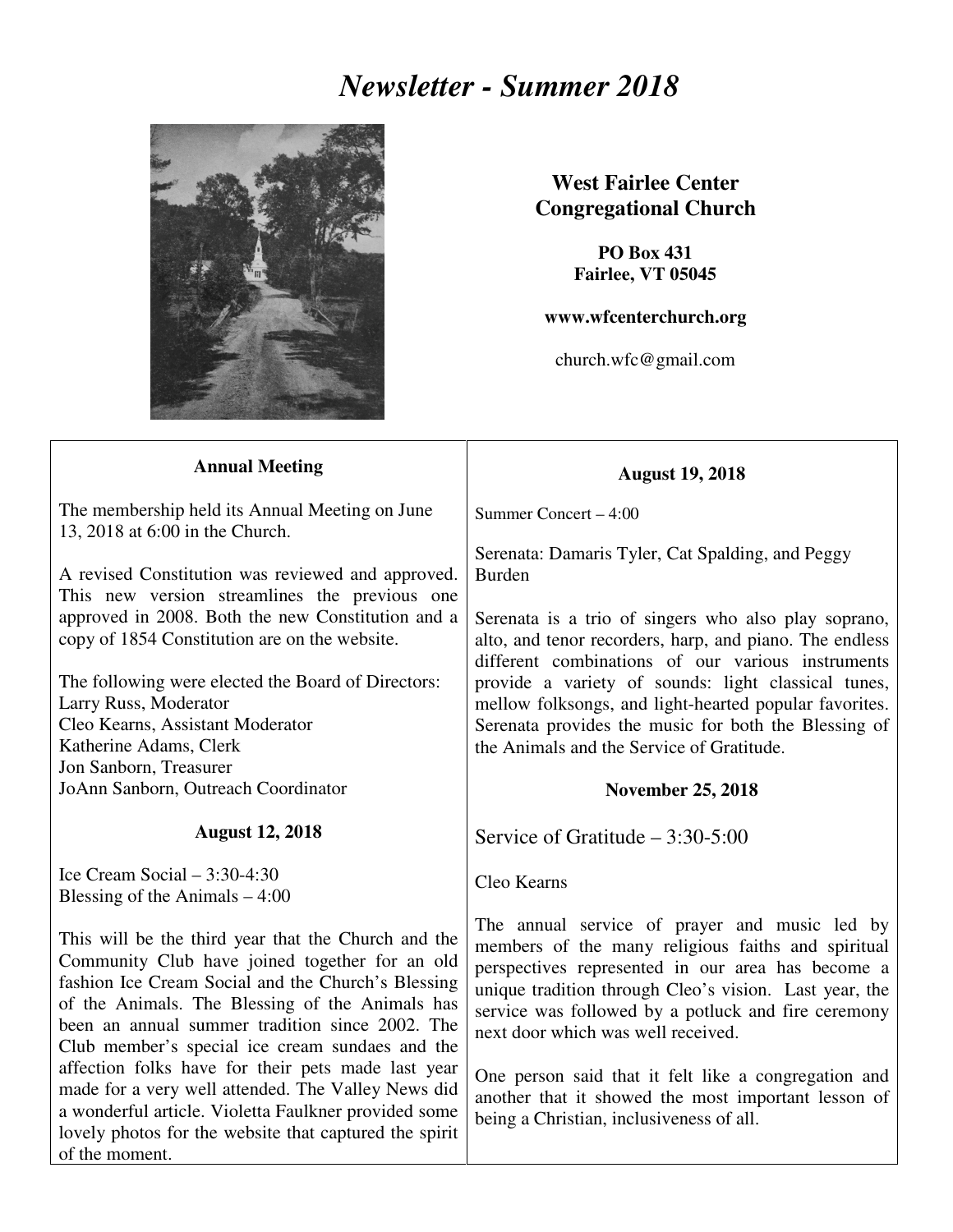## *Newsletter - Summer 2018*



## **West Fairlee Center Congregational Church**

**PO Box 431 Fairlee, VT 05045** 

**www.wfcenterchurch.org** 

church.wfc@gmail.com

| <b>Annual Meeting</b>                                                                                                                                                                                                                                                                                                                                                           | <b>August 19, 2018</b>                                                                                                                                                                                                                                                                                                                                                                                                                                          |
|---------------------------------------------------------------------------------------------------------------------------------------------------------------------------------------------------------------------------------------------------------------------------------------------------------------------------------------------------------------------------------|-----------------------------------------------------------------------------------------------------------------------------------------------------------------------------------------------------------------------------------------------------------------------------------------------------------------------------------------------------------------------------------------------------------------------------------------------------------------|
| The membership held its Annual Meeting on June<br>13, 2018 at 6:00 in the Church.                                                                                                                                                                                                                                                                                               | Summer Concert - 4:00                                                                                                                                                                                                                                                                                                                                                                                                                                           |
| A revised Constitution was reviewed and approved.<br>This new version streamlines the previous one<br>approved in 2008. Both the new Constitution and a<br>copy of 1854 Constitution are on the website.<br>The following were elected the Board of Directors:<br>Larry Russ, Moderator<br>Cleo Kearns, Assistant Moderator<br>Katherine Adams, Clerk<br>Jon Sanborn, Treasurer | Serenata: Damaris Tyler, Cat Spalding, and Peggy<br><b>Burden</b><br>Serenata is a trio of singers who also play soprano,<br>alto, and tenor recorders, harp, and piano. The endless<br>different combinations of our various instruments<br>provide a variety of sounds: light classical tunes,<br>mellow folksongs, and light-hearted popular favorites.<br>Serenata provides the music for both the Blessing of<br>the Animals and the Service of Gratitude. |
| JoAnn Sanborn, Outreach Coordinator                                                                                                                                                                                                                                                                                                                                             | <b>November 25, 2018</b>                                                                                                                                                                                                                                                                                                                                                                                                                                        |
| <b>August 12, 2018</b>                                                                                                                                                                                                                                                                                                                                                          | Service of Gratitude $-3:30-5:00$                                                                                                                                                                                                                                                                                                                                                                                                                               |
| Ice Cream Social $-3:30-4:30$<br>Blessing of the Animals $-4:00$                                                                                                                                                                                                                                                                                                                | Cleo Kearns                                                                                                                                                                                                                                                                                                                                                                                                                                                     |
| This will be the third year that the Church and the<br>Community Club have joined together for an old<br>fashion Ice Cream Social and the Church's Blessing<br>of the Animals. The Blessing of the Animals has<br>been an annual summer tradition since 2002. The<br>Club member's special ice cream sundaes and the                                                            | The annual service of prayer and music led by<br>members of the many religious faiths and spiritual<br>perspectives represented in our area has become a<br>unique tradition through Cleo's vision. Last year, the<br>service was followed by a potluck and fire ceremony<br>next door which was well received.                                                                                                                                                 |
| affection folks have for their pets made last year<br>made for a very well attended. The Valley News did<br>a wonderful article. Violetta Faulkner provided some<br>lovely photos for the website that captured the spirit<br>of the moment.                                                                                                                                    | One person said that it felt like a congregation and<br>another that it showed the most important lesson of<br>being a Christian, inclusiveness of all.                                                                                                                                                                                                                                                                                                         |